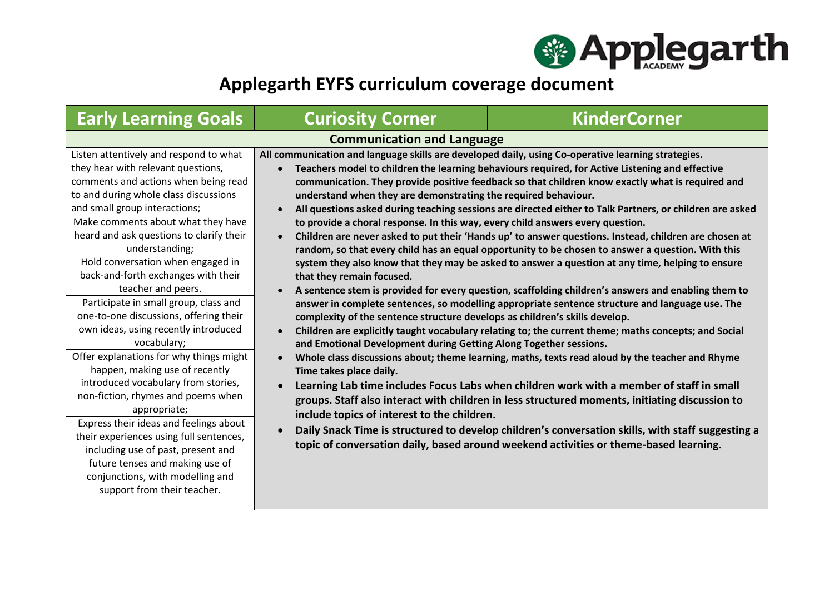

## **Applegarth EYFS curriculum coverage document**

| <b>Early Learning Goals</b>                                                                                                                                                                                                                                                                                                                                                                                                                                                                                                                                                                                                                                                                                                                                                                                                                                                                                                                               | <b>Curiosity Corner</b>                                                                                                                                                                                                                                                                                                                                                                                                                                                                                           | <b>KinderCorner</b>                                                                                                                                                                                                                                                                                                                                                                                                                                                                                                                                                                                                                                                                                                                                                                                                                                                                                                                                                                                                                                                                                                                                                                                                                                                                                                                                                                                                                                |
|-----------------------------------------------------------------------------------------------------------------------------------------------------------------------------------------------------------------------------------------------------------------------------------------------------------------------------------------------------------------------------------------------------------------------------------------------------------------------------------------------------------------------------------------------------------------------------------------------------------------------------------------------------------------------------------------------------------------------------------------------------------------------------------------------------------------------------------------------------------------------------------------------------------------------------------------------------------|-------------------------------------------------------------------------------------------------------------------------------------------------------------------------------------------------------------------------------------------------------------------------------------------------------------------------------------------------------------------------------------------------------------------------------------------------------------------------------------------------------------------|----------------------------------------------------------------------------------------------------------------------------------------------------------------------------------------------------------------------------------------------------------------------------------------------------------------------------------------------------------------------------------------------------------------------------------------------------------------------------------------------------------------------------------------------------------------------------------------------------------------------------------------------------------------------------------------------------------------------------------------------------------------------------------------------------------------------------------------------------------------------------------------------------------------------------------------------------------------------------------------------------------------------------------------------------------------------------------------------------------------------------------------------------------------------------------------------------------------------------------------------------------------------------------------------------------------------------------------------------------------------------------------------------------------------------------------------------|
| <b>Communication and Language</b>                                                                                                                                                                                                                                                                                                                                                                                                                                                                                                                                                                                                                                                                                                                                                                                                                                                                                                                         |                                                                                                                                                                                                                                                                                                                                                                                                                                                                                                                   |                                                                                                                                                                                                                                                                                                                                                                                                                                                                                                                                                                                                                                                                                                                                                                                                                                                                                                                                                                                                                                                                                                                                                                                                                                                                                                                                                                                                                                                    |
| Listen attentively and respond to what<br>they hear with relevant questions,<br>comments and actions when being read<br>to and during whole class discussions<br>and small group interactions;<br>Make comments about what they have<br>heard and ask questions to clarify their<br>understanding;<br>Hold conversation when engaged in<br>back-and-forth exchanges with their<br>teacher and peers.<br>Participate in small group, class and<br>one-to-one discussions, offering their<br>own ideas, using recently introduced<br>vocabulary;<br>Offer explanations for why things might<br>happen, making use of recently<br>introduced vocabulary from stories,<br>non-fiction, rhymes and poems when<br>appropriate;<br>Express their ideas and feelings about<br>their experiences using full sentences,<br>including use of past, present and<br>future tenses and making use of<br>conjunctions, with modelling and<br>support from their teacher. | All communication and language skills are developed daily, using Co-operative learning strategies.<br>understand when they are demonstrating the required behaviour.<br>to provide a choral response. In this way, every child answers every question.<br>that they remain focused.<br>complexity of the sentence structure develops as children's skills develop.<br>and Emotional Development during Getting Along Together sessions.<br>Time takes place daily.<br>include topics of interest to the children. | Teachers model to children the learning behaviours required, for Active Listening and effective<br>communication. They provide positive feedback so that children know exactly what is required and<br>All questions asked during teaching sessions are directed either to Talk Partners, or children are asked<br>Children are never asked to put their 'Hands up' to answer questions. Instead, children are chosen at<br>random, so that every child has an equal opportunity to be chosen to answer a question. With this<br>system they also know that they may be asked to answer a question at any time, helping to ensure<br>A sentence stem is provided for every question, scaffolding children's answers and enabling them to<br>answer in complete sentences, so modelling appropriate sentence structure and language use. The<br>Children are explicitly taught vocabulary relating to; the current theme; maths concepts; and Social<br>Whole class discussions about; theme learning, maths, texts read aloud by the teacher and Rhyme<br>Learning Lab time includes Focus Labs when children work with a member of staff in small<br>groups. Staff also interact with children in less structured moments, initiating discussion to<br>Daily Snack Time is structured to develop children's conversation skills, with staff suggesting a<br>topic of conversation daily, based around weekend activities or theme-based learning. |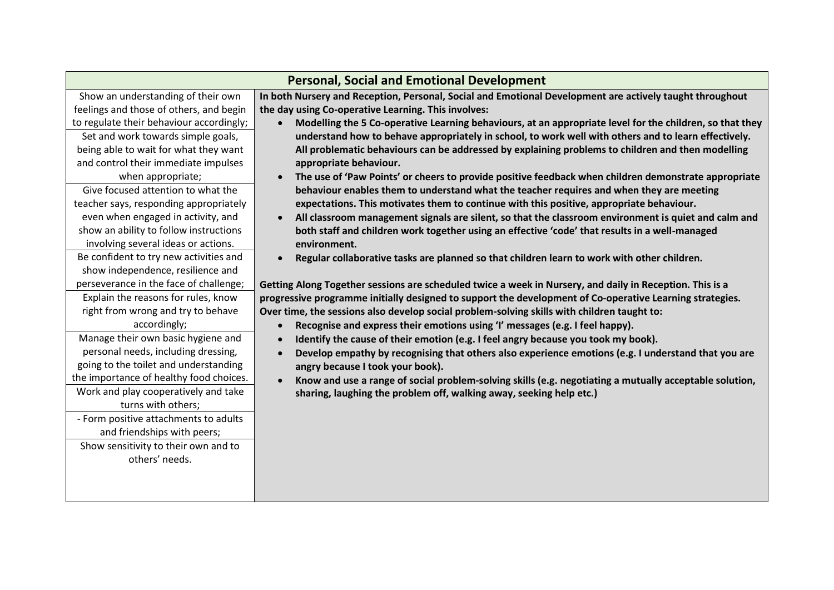| <b>Personal, Social and Emotional Development</b> |                                                                                                                   |  |
|---------------------------------------------------|-------------------------------------------------------------------------------------------------------------------|--|
| Show an understanding of their own                | In both Nursery and Reception, Personal, Social and Emotional Development are actively taught throughout          |  |
| feelings and those of others, and begin           | the day using Co-operative Learning. This involves:                                                               |  |
| to regulate their behaviour accordingly;          | Modelling the 5 Co-operative Learning behaviours, at an appropriate level for the children, so that they          |  |
| Set and work towards simple goals,                | understand how to behave appropriately in school, to work well with others and to learn effectively.              |  |
| being able to wait for what they want             | All problematic behaviours can be addressed by explaining problems to children and then modelling                 |  |
| and control their immediate impulses              | appropriate behaviour.                                                                                            |  |
| when appropriate;                                 | The use of 'Paw Points' or cheers to provide positive feedback when children demonstrate appropriate              |  |
| Give focused attention to what the                | behaviour enables them to understand what the teacher requires and when they are meeting                          |  |
| teacher says, responding appropriately            | expectations. This motivates them to continue with this positive, appropriate behaviour.                          |  |
| even when engaged in activity, and                | All classroom management signals are silent, so that the classroom environment is quiet and calm and<br>$\bullet$ |  |
| show an ability to follow instructions            | both staff and children work together using an effective 'code' that results in a well-managed                    |  |
| involving several ideas or actions.               | environment.                                                                                                      |  |
| Be confident to try new activities and            | Regular collaborative tasks are planned so that children learn to work with other children.                       |  |
| show independence, resilience and                 |                                                                                                                   |  |
| perseverance in the face of challenge;            | Getting Along Together sessions are scheduled twice a week in Nursery, and daily in Reception. This is a          |  |
| Explain the reasons for rules, know               | progressive programme initially designed to support the development of Co-operative Learning strategies.          |  |
| right from wrong and try to behave                | Over time, the sessions also develop social problem-solving skills with children taught to:                       |  |
| accordingly;                                      | Recognise and express their emotions using 'I' messages (e.g. I feel happy).                                      |  |
| Manage their own basic hygiene and                | Identify the cause of their emotion (e.g. I feel angry because you took my book).                                 |  |
| personal needs, including dressing,               | Develop empathy by recognising that others also experience emotions (e.g. I understand that you are               |  |
| going to the toilet and understanding             | angry because I took your book).                                                                                  |  |
| the importance of healthy food choices.           | Know and use a range of social problem-solving skills (e.g. negotiating a mutually acceptable solution,           |  |
| Work and play cooperatively and take              | sharing, laughing the problem off, walking away, seeking help etc.)                                               |  |
| turns with others;                                |                                                                                                                   |  |
| - Form positive attachments to adults             |                                                                                                                   |  |
| and friendships with peers;                       |                                                                                                                   |  |
| Show sensitivity to their own and to              |                                                                                                                   |  |
| others' needs.                                    |                                                                                                                   |  |
|                                                   |                                                                                                                   |  |
|                                                   |                                                                                                                   |  |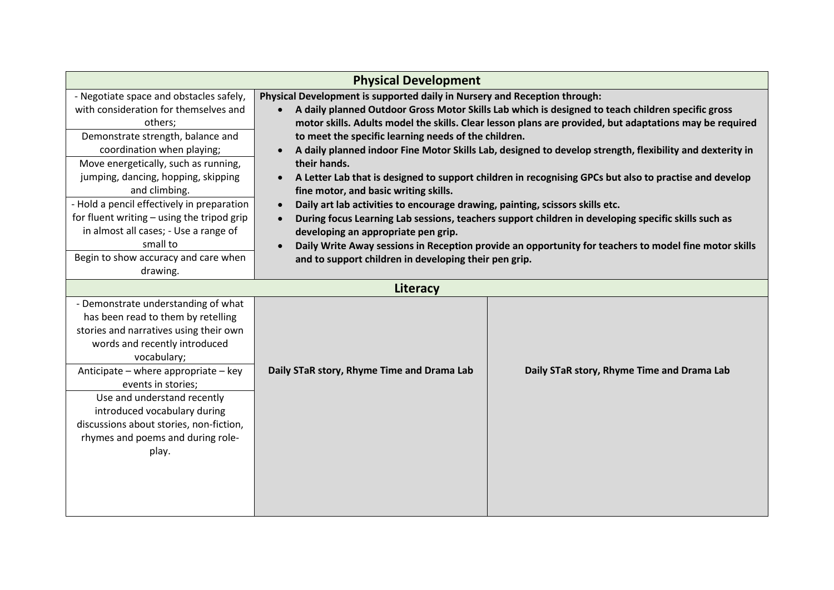| <b>Physical Development</b>                         |                                                                                                          |                                            |
|-----------------------------------------------------|----------------------------------------------------------------------------------------------------------|--------------------------------------------|
| - Negotiate space and obstacles safely,             | Physical Development is supported daily in Nursery and Reception through:                                |                                            |
| with consideration for themselves and               | A daily planned Outdoor Gross Motor Skills Lab which is designed to teach children specific gross        |                                            |
| others;                                             | motor skills. Adults model the skills. Clear lesson plans are provided, but adaptations may be required  |                                            |
| Demonstrate strength, balance and                   | to meet the specific learning needs of the children.                                                     |                                            |
| coordination when playing;                          | A daily planned indoor Fine Motor Skills Lab, designed to develop strength, flexibility and dexterity in |                                            |
| Move energetically, such as running,                | their hands.                                                                                             |                                            |
| jumping, dancing, hopping, skipping                 | A Letter Lab that is designed to support children in recognising GPCs but also to practise and develop   |                                            |
| and climbing.                                       | fine motor, and basic writing skills.                                                                    |                                            |
| - Hold a pencil effectively in preparation          | Daily art lab activities to encourage drawing, painting, scissors skills etc.                            |                                            |
| for fluent writing - using the tripod grip          | During focus Learning Lab sessions, teachers support children in developing specific skills such as      |                                            |
| in almost all cases; - Use a range of<br>small to   | developing an appropriate pen grip.                                                                      |                                            |
| Begin to show accuracy and care when                | Daily Write Away sessions in Reception provide an opportunity for teachers to model fine motor skills    |                                            |
|                                                     | and to support children in developing their pen grip.                                                    |                                            |
| drawing.                                            |                                                                                                          |                                            |
| Literacy                                            |                                                                                                          |                                            |
| - Demonstrate understanding of what                 |                                                                                                          |                                            |
| has been read to them by retelling                  |                                                                                                          |                                            |
| stories and narratives using their own              |                                                                                                          |                                            |
| words and recently introduced                       |                                                                                                          |                                            |
| vocabulary;<br>Anticipate - where appropriate - key |                                                                                                          |                                            |
| events in stories;                                  | Daily STaR story, Rhyme Time and Drama Lab                                                               | Daily STaR story, Rhyme Time and Drama Lab |
| Use and understand recently                         |                                                                                                          |                                            |
| introduced vocabulary during                        |                                                                                                          |                                            |
| discussions about stories, non-fiction,             |                                                                                                          |                                            |
| rhymes and poems and during role-                   |                                                                                                          |                                            |
| play.                                               |                                                                                                          |                                            |
|                                                     |                                                                                                          |                                            |
|                                                     |                                                                                                          |                                            |
|                                                     |                                                                                                          |                                            |
|                                                     |                                                                                                          |                                            |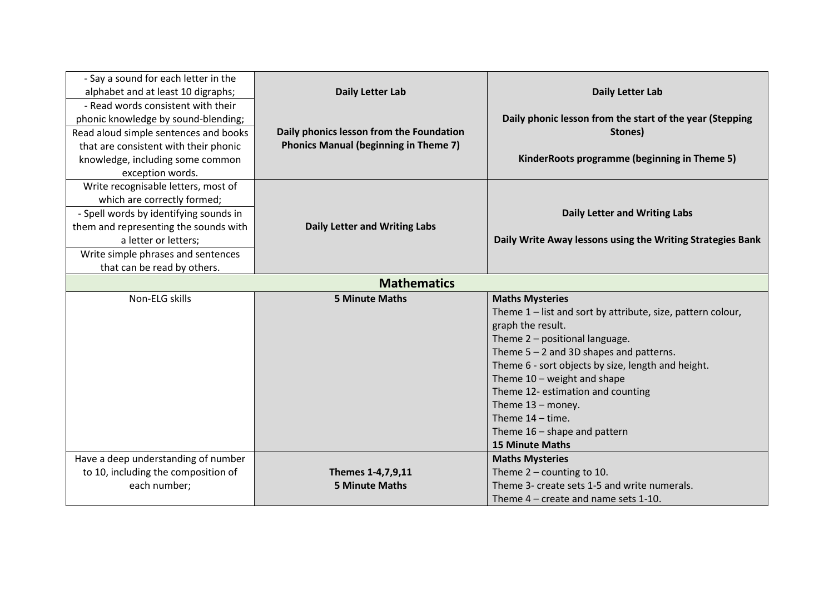| - Say a sound for each letter in the   |                                              |                                                             |
|----------------------------------------|----------------------------------------------|-------------------------------------------------------------|
| alphabet and at least 10 digraphs;     | <b>Daily Letter Lab</b>                      | <b>Daily Letter Lab</b>                                     |
| - Read words consistent with their     |                                              |                                                             |
| phonic knowledge by sound-blending;    |                                              | Daily phonic lesson from the start of the year (Stepping    |
| Read aloud simple sentences and books  | Daily phonics lesson from the Foundation     | Stones)                                                     |
| that are consistent with their phonic  | <b>Phonics Manual (beginning in Theme 7)</b> |                                                             |
| knowledge, including some common       |                                              | KinderRoots programme (beginning in Theme 5)                |
| exception words.                       |                                              |                                                             |
| Write recognisable letters, most of    |                                              |                                                             |
| which are correctly formed;            |                                              |                                                             |
| - Spell words by identifying sounds in |                                              | <b>Daily Letter and Writing Labs</b>                        |
| them and representing the sounds with  | <b>Daily Letter and Writing Labs</b>         |                                                             |
| a letter or letters;                   |                                              | Daily Write Away lessons using the Writing Strategies Bank  |
| Write simple phrases and sentences     |                                              |                                                             |
| that can be read by others.            |                                              |                                                             |
| <b>Mathematics</b>                     |                                              |                                                             |
| Non-ELG skills                         | <b>5 Minute Maths</b>                        | <b>Maths Mysteries</b>                                      |
|                                        |                                              | Theme 1 – list and sort by attribute, size, pattern colour, |
|                                        |                                              | graph the result.                                           |
|                                        |                                              | Theme 2 - positional language.                              |
|                                        |                                              | Theme $5 - 2$ and 3D shapes and patterns.                   |
|                                        |                                              | Theme 6 - sort objects by size, length and height.          |
|                                        |                                              | Theme $10$ – weight and shape                               |
|                                        |                                              | Theme 12- estimation and counting                           |
|                                        |                                              | Theme $13 -$ money.                                         |
|                                        |                                              | Theme $14 -$ time.                                          |
|                                        |                                              | Theme $16$ – shape and pattern                              |
|                                        |                                              | <b>15 Minute Maths</b>                                      |
| Have a deep understanding of number    |                                              | <b>Maths Mysteries</b>                                      |
| to 10, including the composition of    | Themes 1-4,7,9,11                            | Theme $2$ – counting to 10.                                 |
| each number;                           | <b>5 Minute Maths</b>                        | Theme 3- create sets 1-5 and write numerals.                |
|                                        |                                              | Theme 4 - create and name sets 1-10.                        |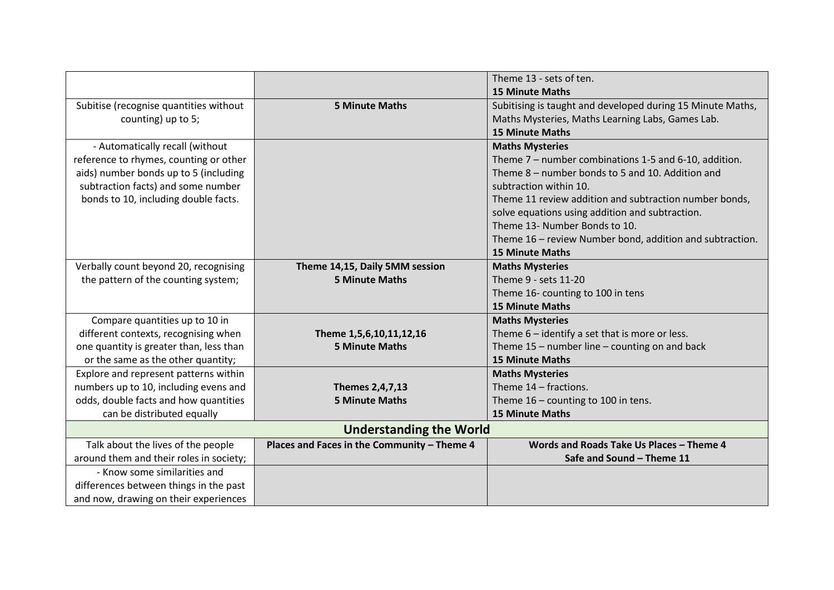|                                         |                                             | Theme 13 - sets of ten.                                    |
|-----------------------------------------|---------------------------------------------|------------------------------------------------------------|
|                                         |                                             | <b>15 Minute Maths</b>                                     |
| Subitise (recognise quantities without  | <b>5 Minute Maths</b>                       | Subitising is taught and developed during 15 Minute Maths, |
| counting) up to 5;                      |                                             | Maths Mysteries, Maths Learning Labs, Games Lab.           |
|                                         |                                             | <b>15 Minute Maths</b>                                     |
| - Automatically recall (without         |                                             | <b>Maths Mysteries</b>                                     |
| reference to rhymes, counting or other  |                                             | Theme 7 - number combinations 1-5 and 6-10, addition.      |
| aids) number bonds up to 5 (including   |                                             | Theme 8 - number bonds to 5 and 10. Addition and           |
| subtraction facts) and some number      |                                             | subtraction within 10.                                     |
| bonds to 10, including double facts.    |                                             | Theme 11 review addition and subtraction number bonds,     |
|                                         |                                             | solve equations using addition and subtraction.            |
|                                         |                                             | Theme 13- Number Bonds to 10.                              |
|                                         |                                             | Theme 16 – review Number bond, addition and subtraction.   |
|                                         |                                             | <b>15 Minute Maths</b>                                     |
| Verbally count beyond 20, recognising   | Theme 14,15, Daily 5MM session              | <b>Maths Mysteries</b>                                     |
| the pattern of the counting system;     | <b>5 Minute Maths</b>                       | Theme 9 - sets 11-20                                       |
|                                         |                                             | Theme 16- counting to 100 in tens                          |
|                                         |                                             | <b>15 Minute Maths</b>                                     |
| Compare quantities up to 10 in          |                                             | <b>Maths Mysteries</b>                                     |
| different contexts, recognising when    | Theme 1,5,6,10,11,12,16                     | Theme $6$ – identify a set that is more or less.           |
| one quantity is greater than, less than | <b>5 Minute Maths</b>                       | Theme 15 - number line - counting on and back              |
| or the same as the other quantity;      |                                             | <b>15 Minute Maths</b>                                     |
| Explore and represent patterns within   |                                             | <b>Maths Mysteries</b>                                     |
| numbers up to 10, including evens and   | Themes 2,4,7,13                             | Theme 14 - fractions.                                      |
| odds, double facts and how quantities   | <b>5 Minute Maths</b>                       | Theme 16 - counting to 100 in tens.                        |
| can be distributed equally              |                                             | <b>15 Minute Maths</b>                                     |
| <b>Understanding the World</b>          |                                             |                                                            |
| Talk about the lives of the people      | Places and Faces in the Community - Theme 4 | Words and Roads Take Us Places - Theme 4                   |
| around them and their roles in society; |                                             | Safe and Sound - Theme 11                                  |
| - Know some similarities and            |                                             |                                                            |
| differences between things in the past  |                                             |                                                            |
| and now, drawing on their experiences   |                                             |                                                            |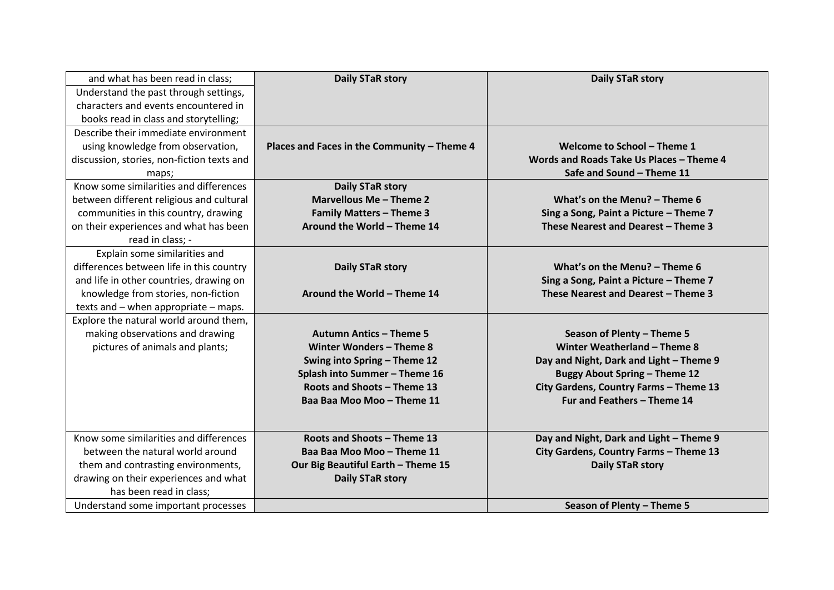| and what has been read in class;           | <b>Daily STaR story</b>                     | <b>Daily STaR story</b>                  |
|--------------------------------------------|---------------------------------------------|------------------------------------------|
| Understand the past through settings,      |                                             |                                          |
| characters and events encountered in       |                                             |                                          |
| books read in class and storytelling;      |                                             |                                          |
| Describe their immediate environment       |                                             |                                          |
| using knowledge from observation,          | Places and Faces in the Community - Theme 4 | Welcome to School - Theme 1              |
| discussion, stories, non-fiction texts and |                                             | Words and Roads Take Us Places - Theme 4 |
| maps;                                      |                                             | Safe and Sound - Theme 11                |
| Know some similarities and differences     | <b>Daily STaR story</b>                     |                                          |
| between different religious and cultural   | Marvellous Me - Theme 2                     | What's on the Menu? - Theme 6            |
| communities in this country, drawing       | <b>Family Matters - Theme 3</b>             | Sing a Song, Paint a Picture - Theme 7   |
| on their experiences and what has been     | Around the World - Theme 14                 | These Nearest and Dearest - Theme 3      |
| read in class; -                           |                                             |                                          |
| Explain some similarities and              |                                             |                                          |
| differences between life in this country   | Daily STaR story                            | What's on the Menu? - Theme 6            |
| and life in other countries, drawing on    |                                             | Sing a Song, Paint a Picture - Theme 7   |
| knowledge from stories, non-fiction        | Around the World - Theme 14                 | These Nearest and Dearest - Theme 3      |
| texts and - when appropriate - maps.       |                                             |                                          |
| Explore the natural world around them,     |                                             |                                          |
| making observations and drawing            | <b>Autumn Antics - Theme 5</b>              | Season of Plenty - Theme 5               |
| pictures of animals and plants;            | Winter Wonders - Theme 8                    | Winter Weatherland - Theme 8             |
|                                            | Swing into Spring - Theme 12                | Day and Night, Dark and Light - Theme 9  |
|                                            | Splash into Summer - Theme 16               | <b>Buggy About Spring - Theme 12</b>     |
|                                            | Roots and Shoots - Theme 13                 | City Gardens, Country Farms - Theme 13   |
|                                            | Baa Baa Moo Moo - Theme 11                  | Fur and Feathers - Theme 14              |
|                                            |                                             |                                          |
|                                            |                                             |                                          |
| Know some similarities and differences     | Roots and Shoots - Theme 13                 | Day and Night, Dark and Light - Theme 9  |
| between the natural world around           | Baa Baa Moo Moo - Theme 11                  | City Gardens, Country Farms - Theme 13   |
| them and contrasting environments,         | Our Big Beautiful Earth - Theme 15          | <b>Daily STaR story</b>                  |
| drawing on their experiences and what      | <b>Daily STaR story</b>                     |                                          |
| has been read in class;                    |                                             |                                          |
| Understand some important processes        |                                             | Season of Plenty - Theme 5               |